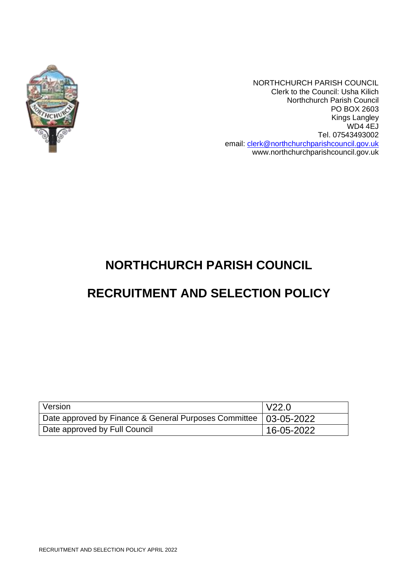

NORTHCHURCH PARISH COUNCIL Clerk to the Council: Usha Kilich Northchurch Parish Council PO BOX 2603 Kings Langley WD4 4EJ Tel. 07543493002 email: [clerk@northchurchparishcouncil.gov.uk](mailto:clerk@northchurchparishcouncil.gov.uk) www.northchurchparishcouncil.gov.uk

# **NORTHCHURCH PARISH COUNCIL**

# **RECRUITMENT AND SELECTION POLICY**

| Version                                                            | V22.0            |
|--------------------------------------------------------------------|------------------|
| Date approved by Finance & General Purposes Committee   03-05-2022 |                  |
| Date approved by Full Council                                      | $16 - 05 - 2022$ |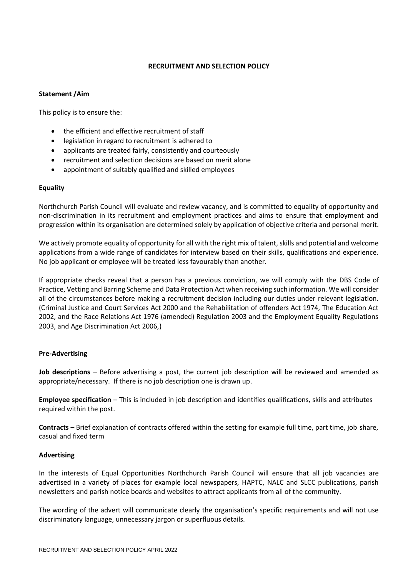# **RECRUITMENT AND SELECTION POLICY**

### **Statement /Aim**

This policy is to ensure the:

- the efficient and effective recruitment of staff
- legislation in regard to recruitment is adhered to
- applicants are treated fairly, consistently and courteously
- recruitment and selection decisions are based on merit alone
- appointment of suitably qualified and skilled employees

## **Equality**

Northchurch Parish Council will evaluate and review vacancy, and is committed to equality of opportunity and non-discrimination in its recruitment and employment practices and aims to ensure that employment and progression within its organisation are determined solely by application of objective criteria and personal merit.

We actively promote equality of opportunity for all with the right mix of talent, skills and potential and welcome applications from a wide range of candidates for interview based on their skills, qualifications and experience. No job applicant or employee will be treated less favourably than another.

If appropriate checks reveal that a person has a previous conviction, we will comply with the DBS Code of Practice, Vetting and Barring Scheme and Data Protection Act when receiving such information. We will consider all of the circumstances before making a recruitment decision including our duties under relevant legislation. (Criminal Justice and Court Services Act 2000 and the Rehabilitation of offenders Act 1974, The Education Act 2002, and the Race Relations Act 1976 (amended) Regulation 2003 and the Employment Equality Regulations 2003, and Age Discrimination Act 2006,)

## **Pre-Advertising**

**Job descriptions** – Before advertising a post, the current job description will be reviewed and amended as appropriate/necessary. If there is no job description one is drawn up.

**Employee specification** – This is included in job description and identifies qualifications, skills and attributes required within the post.

**Contracts** – Brief explanation of contracts offered within the setting for example full time, part time, job share, casual and fixed term

#### **Advertising**

In the interests of Equal Opportunities Northchurch Parish Council will ensure that all job vacancies are advertised in a variety of places for example local newspapers, HAPTC, NALC and SLCC publications, parish newsletters and parish notice boards and websites to attract applicants from all of the community.

The wording of the advert will communicate clearly the organisation's specific requirements and will not use discriminatory language, unnecessary jargon or superfluous details.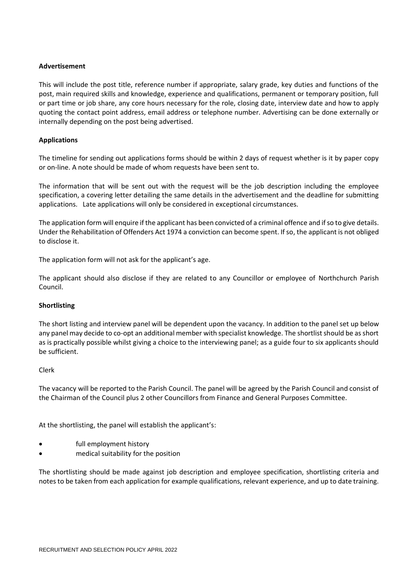# **Advertisement**

This will include the post title, reference number if appropriate, salary grade, key duties and functions of the post, main required skills and knowledge, experience and qualifications, permanent or temporary position, full or part time or job share, any core hours necessary for the role, closing date, interview date and how to apply quoting the contact point address, email address or telephone number. Advertising can be done externally or internally depending on the post being advertised.

# **Applications**

The timeline for sending out applications forms should be within 2 days of request whether is it by paper copy or on-line. A note should be made of whom requests have been sent to.

The information that will be sent out with the request will be the job description including the employee specification, a covering letter detailing the same details in the advertisement and the deadline for submitting applications. Late applications will only be considered in exceptional circumstances.

The application form will enquire if the applicant has been convicted of a criminal offence and if so to give details. Under the Rehabilitation of Offenders Act 1974 a conviction can become spent. If so, the applicant is not obliged to disclose it.

The application form will not ask for the applicant's age.

The applicant should also disclose if they are related to any Councillor or employee of Northchurch Parish Council.

## **Shortlisting**

The short listing and interview panel will be dependent upon the vacancy. In addition to the panel set up below any panel may decide to co-opt an additional member with specialist knowledge. The shortlist should be as short as is practically possible whilst giving a choice to the interviewing panel; as a guide four to six applicants should be sufficient.

## Clerk

The vacancy will be reported to the Parish Council. The panel will be agreed by the Parish Council and consist of the Chairman of the Council plus 2 other Councillors from Finance and General Purposes Committee.

At the shortlisting, the panel will establish the applicant's:

- full employment history
- medical suitability for the position

The shortlisting should be made against job description and employee specification, shortlisting criteria and notes to be taken from each application for example qualifications, relevant experience, and up to date training.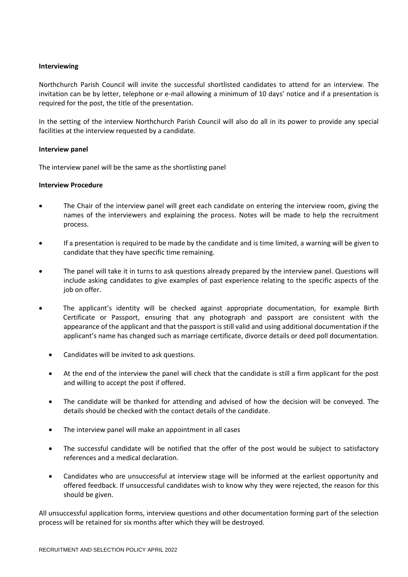### **Interviewing**

Northchurch Parish Council will invite the successful shortlisted candidates to attend for an interview*.* The invitation can be by letter, telephone or e-mail allowing a minimum of 10 days' notice and if a presentation is required for the post, the title of the presentation.

In the setting of the interview Northchurch Parish Council will also do all in its power to provide any special facilities at the interview requested by a candidate.

#### **Interview panel**

The interview panel will be the same as the shortlisting panel

### **Interview Procedure**

- The Chair of the interview panel will greet each candidate on entering the interview room, giving the names of the interviewers and explaining the process. Notes will be made to help the recruitment process.
- If a presentation is required to be made by the candidate and is time limited, a warning will be given to candidate that they have specific time remaining.
- The panel will take it in turns to ask questions already prepared by the interview panel. Questions will include asking candidates to give examples of past experience relating to the specific aspects of the iob on offer.
- The applicant's identity will be checked against appropriate documentation, for example Birth Certificate or Passport, ensuring that any photograph and passport are consistent with the appearance of the applicant and that the passport is still valid and using additional documentation if the applicant's name has changed such as marriage certificate, divorce details or deed poll documentation.
	- Candidates will be invited to ask questions.
	- At the end of the interview the panel will check that the candidate is still a firm applicant for the post and willing to accept the post if offered.
	- The candidate will be thanked for attending and advised of how the decision will be conveyed. The details should be checked with the contact details of the candidate.
	- The interview panel will make an appointment in all cases
	- The successful candidate will be notified that the offer of the post would be subject to satisfactory references and a medical declaration.
	- Candidates who are unsuccessful at interview stage will be informed at the earliest opportunity and offered feedback. If unsuccessful candidates wish to know why they were rejected, the reason for this should be given.

All unsuccessful application forms, interview questions and other documentation forming part of the selection process will be retained for six months after which they will be destroyed.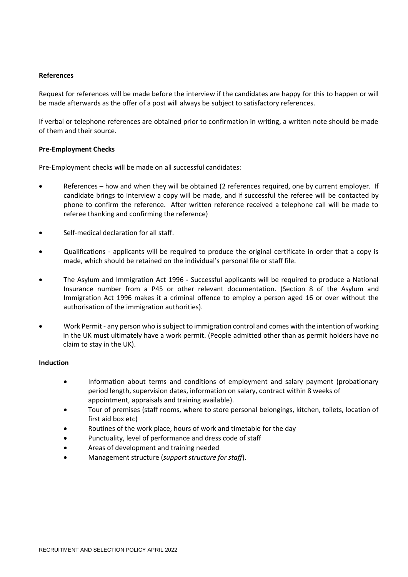### **References**

Request for references will be made before the interview if the candidates are happy for this to happen or will be made afterwards as the offer of a post will always be subject to satisfactory references.

If verbal or telephone references are obtained prior to confirmation in writing, a written note should be made of them and their source.

### **Pre-Employment Checks**

Pre-Employment checks will be made on all successful candidates:

- References how and when they will be obtained (2 references required, one by current employer. If candidate brings to interview a copy will be made, and if successful the referee will be contacted by phone to confirm the reference. After written reference received a telephone call will be made to referee thanking and confirming the reference)
- Self-medical declaration for all staff.
- Qualifications applicants will be required to produce the original certificate in order that a copy is made, which should be retained on the individual's personal file or staff file.
- The Asylum and Immigration Act 1996 **-** Successful applicants will be required to produce a National Insurance number from a P45 or other relevant documentation. (Section 8 of the Asylum and Immigration Act 1996 makes it a criminal offence to employ a person aged 16 or over without the authorisation of the immigration authorities).
- Work Permit any person who is subject to immigration control and comes with the intention of working in the UK must ultimately have a work permit. (People admitted other than as permit holders have no claim to stay in the UK).

#### **Induction**

- Information about terms and conditions of employment and salary payment (probationary period length, supervision dates, information on salary, contract within 8 weeks of appointment, appraisals and training available).
- Tour of premises (staff rooms, where to store personal belongings, kitchen, toilets, location of first aid box etc)
- Routines of the work place, hours of work and timetable for the day
- Punctuality, level of performance and dress code of staff
- Areas of development and training needed
- Management structure (*support structure for staff*).